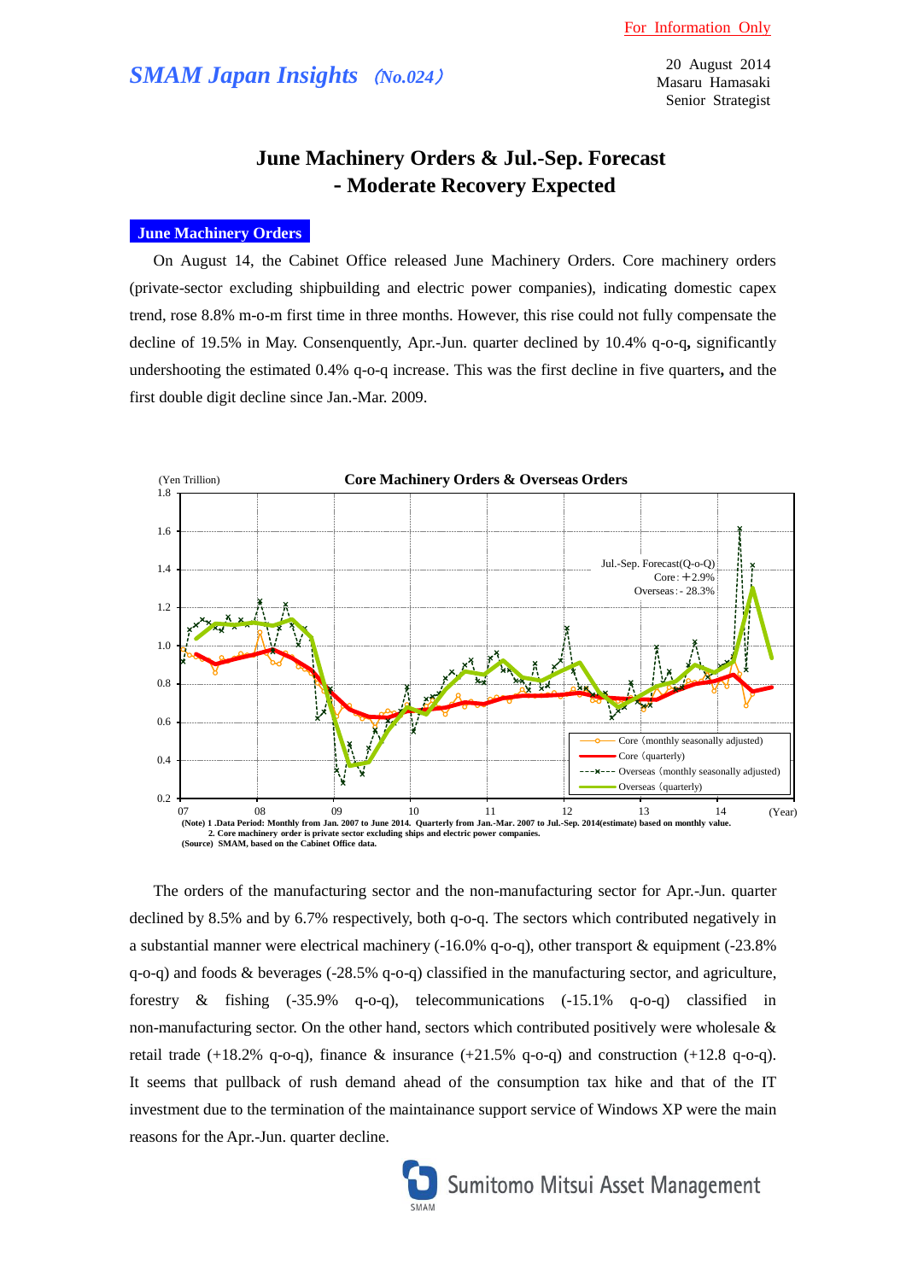# *SMAM Japan Insights* (*No.024*)

20 August 2014 Masaru Hamasaki Senior Strategist

# **June Machinery Orders & Jul.-Sep. Forecast - Moderate Recovery Expected**

### **June Machinery Orders**

On August 14, the Cabinet Office released June Machinery Orders. Core machinery orders (private-sector excluding shipbuilding and electric power companies), indicating domestic capex trend, rose 8.8% m-o-m first time in three months. However, this rise could not fully compensate the decline of 19.5% in May. Consenquently, Apr.-Jun. quarter declined by 10.4% q-o-q**,** significantly undershooting the estimated 0.4% q-o-q increase. This was the first decline in five quarters**,** and the first double digit decline since Jan.-Mar. 2009.



The orders of the manufacturing sector and the non-manufacturing sector for Apr.-Jun. quarter declined by 8.5% and by 6.7% respectively, both q-o-q. The sectors which contributed negatively in a substantial manner were electrical machinery ( $-16.0\%$  q $-0$ -q), other transport & equipment ( $-23.8\%$ ) q-o-q) and foods & beverages (-28.5% q-o-q) classified in the manufacturing sector, and agriculture, forestry & fishing (-35.9% q-o-q), telecommunications (-15.1% q-o-q) classified in non-manufacturing sector. On the other hand, sectors which contributed positively were wholesale  $\&$ retail trade  $(+18.2\%$  q-o-q), finance & insurance  $(+21.5\%$  q-o-q) and construction  $(+12.8$  q-o-q). It seems that pullback of rush demand ahead of the consumption tax hike and that of the IT investment due to the termination of the maintainance support service of Windows XP were the main reasons for the Apr.-Jun. quarter decline.



Sumitomo Mitsui Asset Management